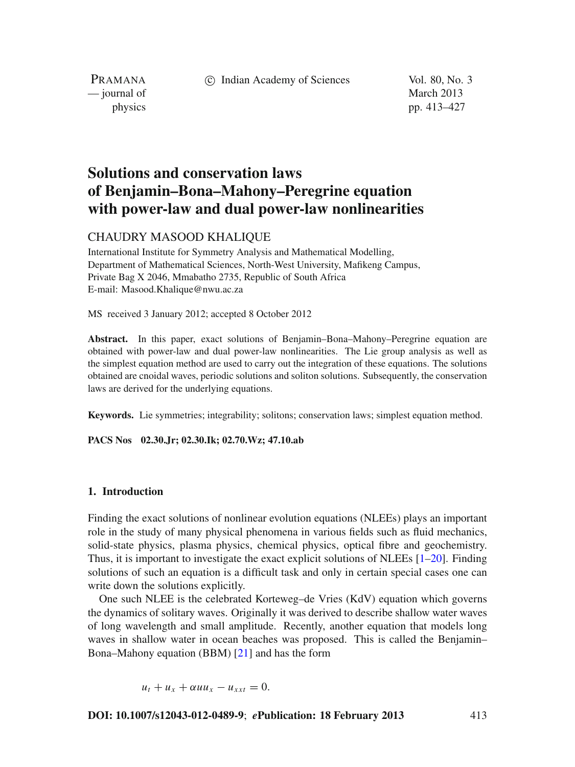c Indian Academy of Sciences Vol. 80, No. 3

PRAMANA — journal of March 2013

physics pp. 413–427

# **Solutions and conservation laws of Benjamin–Bona–Mahony–Peregrine equation with power-law and dual power-law nonlinearities**

## CHAUDRY MASOOD KHALIQUE

International Institute for Symmetry Analysis and Mathematical Modelling, Department of Mathematical Sciences, North-West University, Mafikeng Campus, Private Bag X 2046, Mmabatho 2735, Republic of South Africa E-mail: Masood.Khalique@nwu.ac.za

MS received 3 January 2012; accepted 8 October 2012

**Abstract.** In this paper, exact solutions of Benjamin–Bona–Mahony–Peregrine equation are obtained with power-law and dual power-law nonlinearities. The Lie group analysis as well as the simplest equation method are used to carry out the integration of these equations. The solutions obtained are cnoidal waves, periodic solutions and soliton solutions. Subsequently, the conservation laws are derived for the underlying equations.

**Keywords.** Lie symmetries; integrability; solitons; conservation laws; simplest equation method.

**PACS Nos 02.30.Jr; 02.30.Ik; 02.70.Wz; 47.10.ab**

#### **1. Introduction**

Finding the exact solutions of nonlinear evolution equations (NLEEs) plays an important role in the study of many physical phenomena in various fields such as fluid mechanics, solid-state physics, plasma physics, chemical physics, optical fibre and geochemistry. Thus, it is important to investigate the exact explicit solutions of NLEEs  $[1-20]$  $[1-20]$ . Finding solutions of such an equation is a difficult task and only in certain special cases one can write down the solutions explicitly.

One such NLEE is the celebrated Korteweg–de Vries (KdV) equation which governs the dynamics of solitary waves. Originally it was derived to describe shallow water waves of long wavelength and small amplitude. Recently, another equation that models long waves in shallow water in ocean beaches was proposed. This is called the Benjamin– Bona–Mahony equation (BBM) [\[21\]](#page-13-2) and has the form

 $u_t + u_x + \alpha u u_x - u_{xxt} = 0.$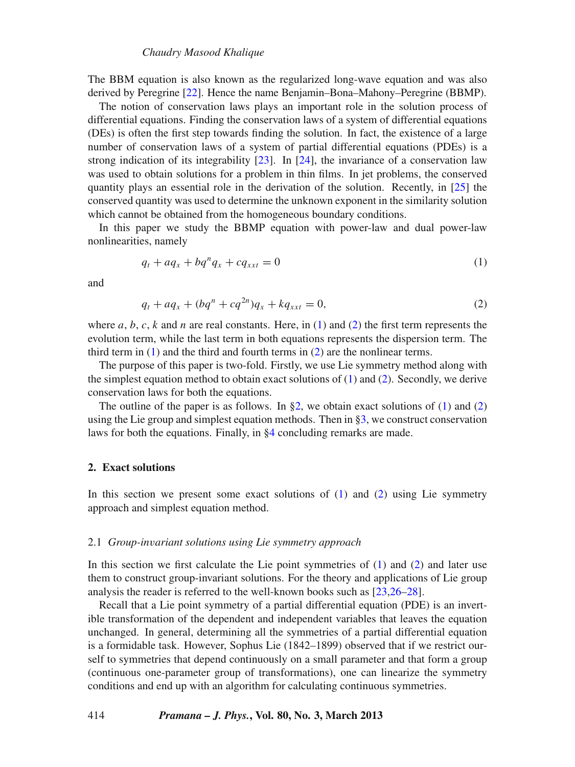The BBM equation is also known as the regularized long-wave equation and was also derived by Peregrine [\[22](#page-14-0)]. Hence the name Benjamin–Bona–Mahony–Peregrine (BBMP).

The notion of conservation laws plays an important role in the solution process of differential equations. Finding the conservation laws of a system of differential equations (DEs) is often the first step towards finding the solution. In fact, the existence of a large number of conservation laws of a system of partial differential equations (PDEs) is a strong indication of its integrability  $[23]$  $[23]$ . In  $[24]$  $[24]$ , the invariance of a conservation law was used to obtain solutions for a problem in thin films. In jet problems, the conserved quantity plays an essential role in the derivation of the solution. Recently, in [\[25](#page-14-3)] the conserved quantity was used to determine the unknown exponent in the similarity solution which cannot be obtained from the homogeneous boundary conditions.

In this paper we study the BBMP equation with power-law and dual power-law nonlinearities, namely

<span id="page-1-0"></span>
$$
q_t + a q_x + b q^n q_x + c q_{xxt} = 0 \tag{1}
$$

and

<span id="page-1-1"></span>
$$
q_t + a q_x + (b q^n + c q^{2n}) q_x + k q_{xxt} = 0,
$$
\n(2)

where  $a, b, c, k$  and  $n$  are real constants. Here, in [\(1\)](#page-1-0) and [\(2\)](#page-1-1) the first term represents the evolution term, while the last term in both equations represents the dispersion term. The third term in  $(1)$  and the third and fourth terms in  $(2)$  are the nonlinear terms.

The purpose of this paper is two-fold. Firstly, we use Lie symmetry method along with the simplest equation method to obtain exact solutions of  $(1)$  and  $(2)$ . Secondly, we derive conservation laws for both the equations.

The outline of the paper is as follows. In  $\S2$ , we obtain exact solutions of [\(1\)](#page-1-0) and [\(2\)](#page-1-1) using the Lie group and simplest equation methods. Then in [§3,](#page-9-0) we construct conservation laws for both the equations. Finally, in [§4](#page-13-3) concluding remarks are made.

#### <span id="page-1-2"></span>**2. Exact solutions**

In this section we present some exact solutions of  $(1)$  and  $(2)$  using Lie symmetry approach and simplest equation method.

#### 2.1 *Group-in*v*ariant solutions using Lie symmetry approach*

In this section we first calculate the Lie point symmetries of  $(1)$  and  $(2)$  and later use them to construct group-invariant solutions. For the theory and applications of Lie group analysis the reader is referred to the well-known books such as [\[23](#page-14-1)[,26](#page-14-4)[–28\]](#page-14-5).

Recall that a Lie point symmetry of a partial differential equation (PDE) is an invertible transformation of the dependent and independent variables that leaves the equation unchanged. In general, determining all the symmetries of a partial differential equation is a formidable task. However, Sophus Lie (1842–1899) observed that if we restrict ourself to symmetries that depend continuously on a small parameter and that form a group (continuous one-parameter group of transformations), one can linearize the symmetry conditions and end up with an algorithm for calculating continuous symmetries.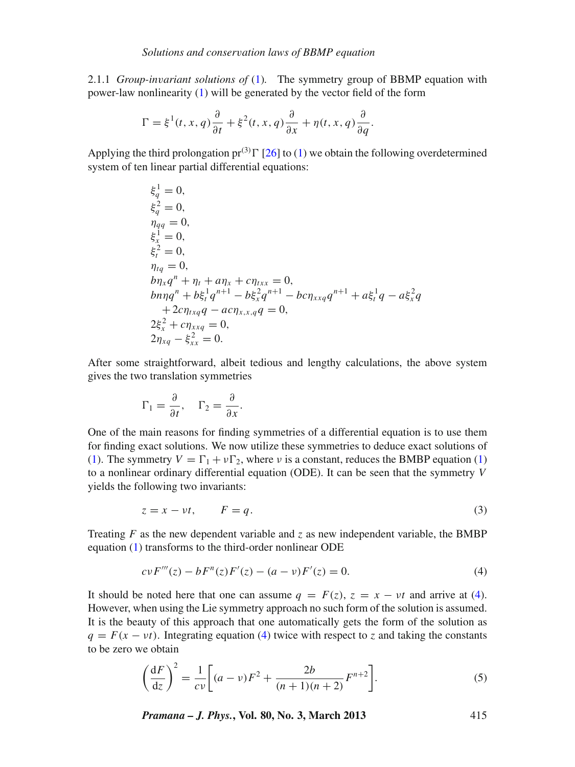2.1.1 *Group-in*v*ariant solutions of* [\(1\)](#page-1-0)*.* The symmetry group of BBMP equation with power-law nonlinearity [\(1\)](#page-1-0) will be generated by the vector field of the form

$$
\Gamma = \xi^{1}(t, x, q) \frac{\partial}{\partial t} + \xi^{2}(t, x, q) \frac{\partial}{\partial x} + \eta(t, x, q) \frac{\partial}{\partial q}.
$$

Applying the third prolongation  $pr^{(3)}\Gamma$  [\[26](#page-14-4)] to [\(1\)](#page-1-0) we obtain the following overdetermined system of ten linear partial differential equations:

$$
\xi_q^1 = 0,
$$
  
\n
$$
\xi_q^2 = 0,
$$
  
\n
$$
\eta_{qq} = 0,
$$
  
\n
$$
\xi_x^1 = 0,
$$
  
\n
$$
\xi_x^2 = 0,
$$
  
\n
$$
\eta_{tq} = 0,
$$
  
\n
$$
b\eta_x q^n + \eta_t + a\eta_x + c\eta_{txx} = 0,
$$
  
\n
$$
b\eta_q^n + b\xi_t^1 q^{n+1} - b\xi_x^2 q^{n+1} - b c\eta_{xxq} q^{n+1} + a\xi_t^1 q - a\xi_x^2 q
$$
  
\n
$$
+ 2c\eta_{txq} q - ac\eta_{xx,q} q = 0,
$$
  
\n
$$
2\xi_x^2 + c\eta_{xxq} = 0,
$$
  
\n
$$
2\eta_{xq} - \xi_{xx}^2 = 0.
$$

After some straightforward, albeit tedious and lengthy calculations, the above system gives the two translation symmetries

$$
\Gamma_1 = \frac{\partial}{\partial t}, \quad \Gamma_2 = \frac{\partial}{\partial x}.
$$

One of the main reasons for finding symmetries of a differential equation is to use them for finding exact solutions. We now utilize these symmetries to deduce exact solutions of [\(1\)](#page-1-0). The symmetry  $V = \Gamma_1 + v\Gamma_2$ , where *v* is a constant, reduces the BMBP equation (1) to a nonlinear ordinary differential equation (ODE). It can be seen that the symmetry *V* yields the following two invariants:

$$
z = x - vt, \qquad F = q. \tag{3}
$$

Treating  $F$  as the new dependent variable and  $\zeta$  as new independent variable, the BMBP equation [\(1\)](#page-1-0) transforms to the third-order nonlinear ODE

<span id="page-2-0"></span>
$$
cvF'''(z) - bF''(z)F'(z) - (a - v)F'(z) = 0.
$$
\n(4)

It should be noted here that one can assume  $q = F(z)$ ,  $z = x - vt$  and arrive at [\(4\)](#page-2-0). However, when using the Lie symmetry approach no such form of the solution is assumed. It is the beauty of this approach that one automatically gets the form of the solution as  $q = F(x - vt)$ . Integrating equation [\(4\)](#page-2-0) twice with respect to *z* and taking the constants to be zero we obtain

$$
\left(\frac{dF}{dz}\right)^2 = \frac{1}{cv} \left[ (a-v)F^2 + \frac{2b}{(n+1)(n+2)} F^{n+2} \right].
$$
 (5)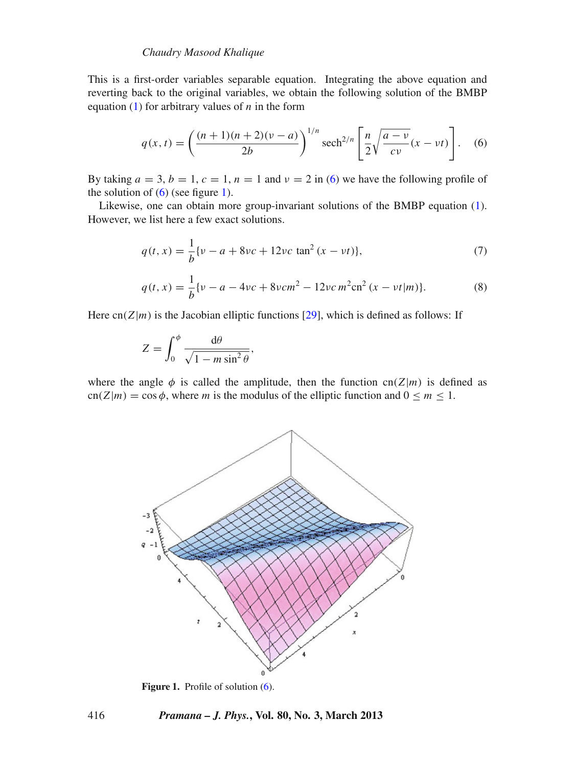#### *Chaudry Masood Khalique*

This is a first-order variables separable equation. Integrating the above equation and reverting back to the original variables, we obtain the following solution of the BMBP equation  $(1)$  for arbitrary values of *n* in the form

<span id="page-3-0"></span>
$$
q(x,t) = \left(\frac{(n+1)(n+2)(\nu-a)}{2b}\right)^{1/n} \operatorname{sech}^{2/n} \left[\frac{n}{2}\sqrt{\frac{a-\nu}{c\nu}}(x-\nu t)\right].
$$
 (6)

By taking  $a = 3$ ,  $b = 1$ ,  $c = 1$ ,  $n = 1$  and  $v = 2$  in [\(6\)](#page-3-0) we have the following profile of the solution of  $(6)$  (see figure [1\)](#page-3-1).

Likewise, one can obtain more group-invariant solutions of the BMBP equation [\(1\)](#page-1-0). However, we list here a few exact solutions.

$$
q(t,x) = \frac{1}{b} \{v - a + 8vc + 12vc \tan^2(x - vt)\},\tag{7}
$$

$$
q(t,x) = \frac{1}{b} \{v - a - 4vc + 8vc^2 - 12vc^2\cos^2(x - vt|m)\}.
$$
 (8)

<span id="page-3-2"></span>Here cn( $Z|m$ ) is the Jacobian elliptic functions [\[29](#page-14-6)], which is defined as follows: If

,

$$
Z = \int_0^{\phi} \frac{d\theta}{\sqrt{1 - m \sin^2 \theta}}
$$

<span id="page-3-1"></span>where the angle  $\phi$  is called the amplitude, then the function cn(*Z*|*m*) is defined as  $cn(Z|m) = cos \phi$ , where *m* is the modulus of the elliptic function and  $0 \le m \le 1$ .



Figure 1. Profile of solution [\(6\)](#page-3-0).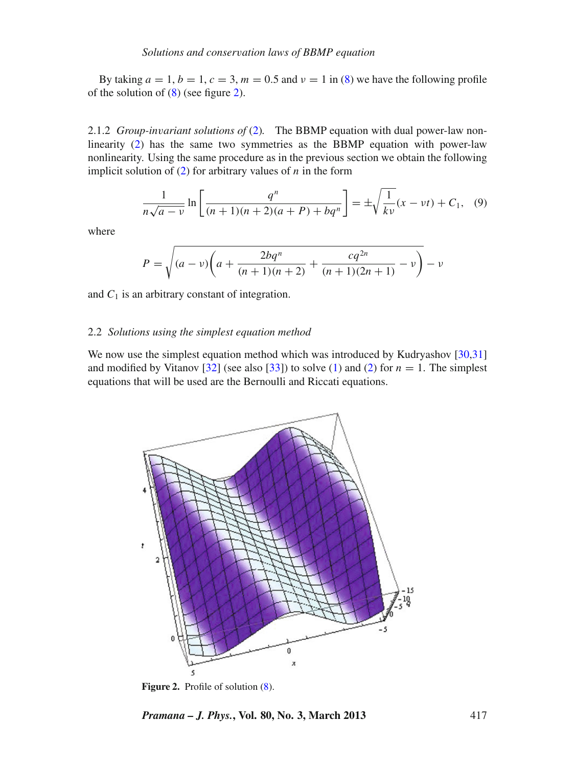By taking  $a = 1$ ,  $b = 1$ ,  $c = 3$ ,  $m = 0.5$  and  $v = 1$  in [\(8\)](#page-3-2) we have the following profile of the solution of [\(8\)](#page-3-2) (see figure [2\)](#page-4-0).

2.1.2 *Group-in*v*ariant solutions of* [\(2\)](#page-1-1)*.* The BBMP equation with dual power-law nonlinearity [\(2\)](#page-1-1) has the same two symmetries as the BBMP equation with power-law nonlinearity. Using the same procedure as in the previous section we obtain the following implicit solution of [\(2\)](#page-1-1) for arbitrary values of *n* in the form

$$
\frac{1}{n\sqrt{a-v}}\ln\left[\frac{q^n}{(n+1)(n+2)(a+P)+bq^n}\right] = \pm\sqrt{\frac{1}{kv}}(x-vt) + C_1,\tag{9}
$$

where

$$
P = \sqrt{(a - v)\left(a + \frac{2bq^{n}}{(n+1)(n+2)} + \frac{cq^{2n}}{(n+1)(2n+1)} - v\right)} - v
$$

and  $C_1$  is an arbitrary constant of integration.

#### 2.2 *Solutions using the simplest equation method*

We now use the simplest equation method which was introduced by Kudryashov [\[30](#page-14-7)[,31\]](#page-14-8) and modified by Vitanov [\[32\]](#page-14-9) (see also [\[33\]](#page-14-10)) to solve [\(1\)](#page-1-0) and [\(2\)](#page-1-1) for  $n = 1$ . The simplest equations that will be used are the Bernoulli and Riccati equations.

<span id="page-4-0"></span>

Figure 2. Profile of solution  $(8)$ .

*Pramana – J. Phys.***, Vol. 80, No. 3, March 2013** 417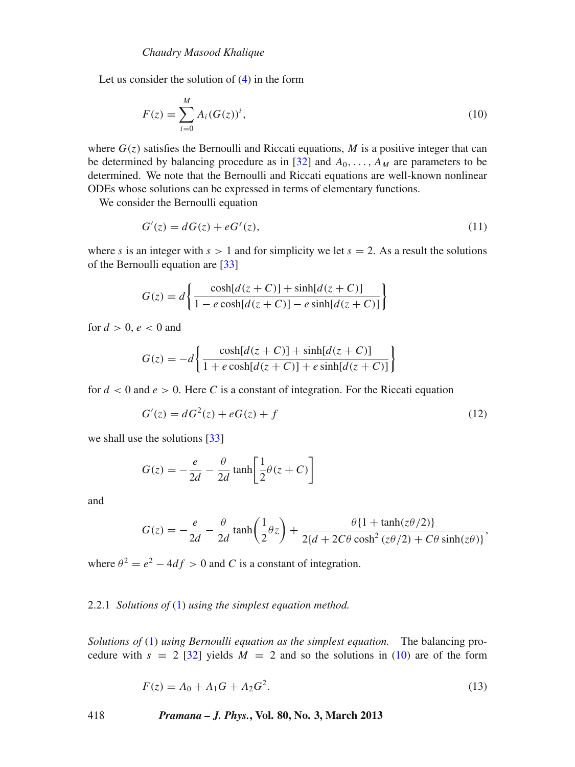Let us consider the solution of [\(4\)](#page-2-0) in the form

<span id="page-5-0"></span>
$$
F(z) = \sum_{i=0}^{M} A_i (G(z))^i,
$$
\n(10)

where  $G(z)$  satisfies the Bernoulli and Riccati equations, *M* is a positive integer that can be determined by balancing procedure as in [\[32\]](#page-14-9) and  $A_0, \ldots, A_M$  are parameters to be determined. We note that the Bernoulli and Riccati equations are well-known nonlinear ODEs whose solutions can be expressed in terms of elementary functions.

We consider the Bernoulli equation

<span id="page-5-2"></span>
$$
G'(z) = dG(z) + eGs(z),
$$
\n<sup>(11)</sup>

where *s* is an integer with  $s > 1$  and for simplicity we let  $s = 2$ . As a result the solutions of the Bernoulli equation are [\[33](#page-14-10)]

$$
G(z) = d \left\{ \frac{\cosh[d(z+C)] + \sinh[d(z+C)]}{1 - e \cosh[d(z+C)] - e \sinh[d(z+C)]} \right\}
$$

for  $d > 0$ ,  $e < 0$  and

<span id="page-5-3"></span>
$$
G(z) = -d\left\{\frac{\cosh[d(z+C)] + \sinh[d(z+C)]}{1 + e \cosh[d(z+C)] + e \sinh[d(z+C)]}\right\}
$$

for  $d < 0$  and  $e > 0$ . Here C is a constant of integration. For the Riccati equation

$$
G'(z) = dG2(z) + eG(z) + f
$$
 (12)

we shall use the solutions [\[33\]](#page-14-10)

$$
G(z) = -\frac{e}{2d} - \frac{\theta}{2d} \tanh\left[\frac{1}{2}\theta(z+C)\right]
$$

and

$$
G(z) = -\frac{e}{2d} - \frac{\theta}{2d} \tanh\left(\frac{1}{2}\theta z\right) + \frac{\theta\{1 + \tanh(z\theta/2)\}}{2\{d + 2C\theta \cosh^2\left(z\theta/2\right) + C\theta \sinh(z\theta)\}},
$$

where  $\theta^2 = e^2 - 4df > 0$  and *C* is a constant of integration.

## 2.2.1 *Solutions of* [\(1\)](#page-1-0) *using the simplest equation method.*

<span id="page-5-1"></span>*Solutions of* [\(1\)](#page-1-0) *using Bernoulli equation as the simplest equation.* The balancing procedure with  $s = 2$  [\[32\]](#page-14-9) yields  $M = 2$  and so the solutions in [\(10\)](#page-5-0) are of the form

$$
F(z) = A_0 + A_1 G + A_2 G^2.
$$
 (13)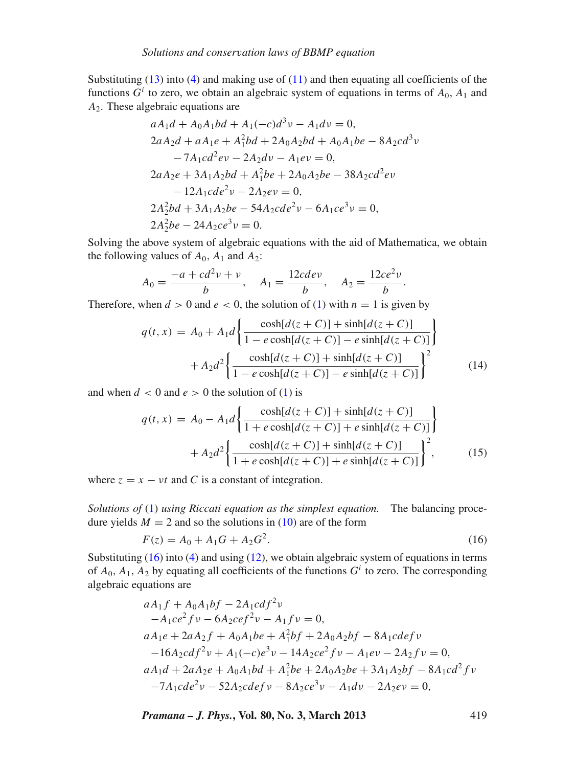Substituting  $(13)$  into  $(4)$  and making use of  $(11)$  and then equating all coefficients of the functions  $G^i$  to zero, we obtain an algebraic system of equations in terms of  $A_0$ ,  $A_1$  and *A*2. These algebraic equations are

$$
aA_1d + A_0A_1bd + A_1(-c)d^3v - A_1dv = 0,
$$
  
\n
$$
2aA_2d + aA_1e + A_1^2bd + 2A_0A_2bd + A_0A_1be - 8A_2cd^3v
$$
  
\n
$$
-7A_1cd^2ev - 2A_2dv - A_1ev = 0,
$$
  
\n
$$
2aA_2e + 3A_1A_2bd + A_1^2be + 2A_0A_2be - 38A_2cd^2ev
$$
  
\n
$$
-12A_1cde^2v - 2A_2ev = 0,
$$
  
\n
$$
2A_2^2bd + 3A_1A_2be - 54A_2cde^2v - 6A_1ce^3v = 0,
$$
  
\n
$$
2A_2^2be - 24A_2ce^3v = 0.
$$

Solving the above system of algebraic equations with the aid of Mathematica, we obtain the following values of  $A_0$ ,  $A_1$  and  $A_2$ :

$$
A_0 = \frac{-a + cd^2v + v}{b}, \quad A_1 = \frac{12cdev}{b}, \quad A_2 = \frac{12ce^2v}{b}.
$$

Therefore, when  $d > 0$  and  $e < 0$ , the solution of [\(1\)](#page-1-0) with  $n = 1$  is given by

$$
q(t,x) = A_0 + A_1 d \left\{ \frac{\cosh[d(z+C)] + \sinh[d(z+C)]}{1 - e \cosh[d(z+C)] - e \sinh[d(z+C)]} \right\}
$$

$$
+ A_2 d^2 \left\{ \frac{\cosh[d(z+C)] + \sinh[d(z+C)]}{1 - e \cosh[d(z+C)] - e \sinh[d(z+C)]} \right\}^2 \tag{14}
$$

and when  $d < 0$  and  $e > 0$  the solution of [\(1\)](#page-1-0) is

$$
q(t,x) = A_0 - A_1 d \left\{ \frac{\cosh[d(z+C)] + \sinh[d(z+C)]}{1 + e \cosh[d(z+C)] + e \sinh[d(z+C)]} \right\} + A_2 d^2 \left\{ \frac{\cosh[d(z+C)] + \sinh[d(z+C)]}{1 + e \cosh[d(z+C)] + e \sinh[d(z+C)]} \right\}^2, \quad (15)
$$

where  $z = x - vt$  and *C* is a constant of integration.

*Solutions of* [\(1\)](#page-1-0) *using Riccati equation as the simplest equation.* The balancing procedure yields  $M = 2$  and so the solutions in [\(10\)](#page-5-0) are of the form

<span id="page-6-0"></span>
$$
F(z) = A_0 + A_1 G + A_2 G^2.
$$
 (16)

Substituting  $(16)$  into  $(4)$  and using  $(12)$ , we obtain algebraic system of equations in terms of  $A_0$ ,  $A_1$ ,  $A_2$  by equating all coefficients of the functions  $G^i$  to zero. The corresponding algebraic equations are

$$
aA_1f + A_0A_1bf - 2A_1cdf^2v
$$
  
\n
$$
-A_1ce^2fv - 6A_2cef^2v - A_1fv = 0,
$$
  
\n
$$
aA_1e + 2aA_2f + A_0A_1be + A_1^2bf + 2A_0A_2bf - 8A_1cdefv
$$
  
\n
$$
-16A_2cdf^2v + A_1(-c)e^3v - 14A_2ce^2fv - A_1ev - 2A_2fv = 0,
$$
  
\n
$$
aA_1d + 2aA_2e + A_0A_1bd + A_1^2be + 2A_0A_2be + 3A_1A_2bf - 8A_1cd^2fv
$$
  
\n
$$
-7A_1cde^2v - 52A_2cdefv - 8A_2ce^3v - A_1dv - 2A_2ev = 0,
$$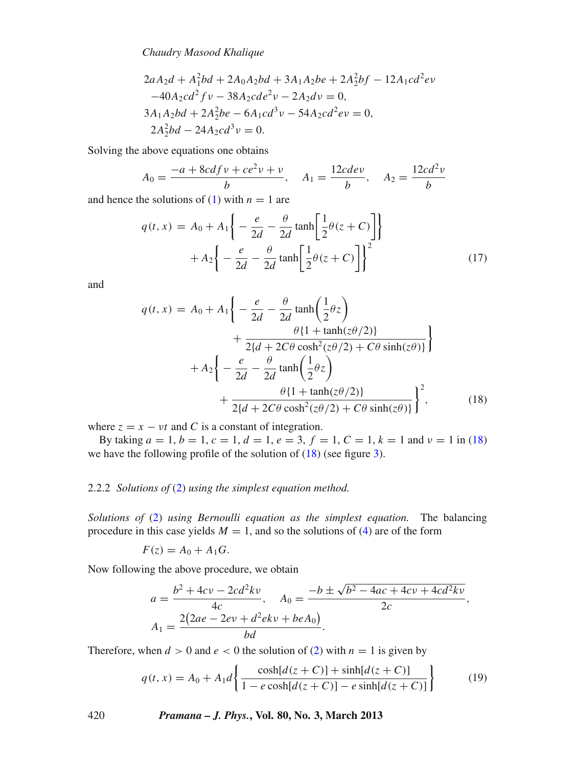*Chaudry Masood Khalique*

$$
2aA_2d + A_1^2bd + 2A_0A_2bd + 3A_1A_2be + 2A_2^2bf - 12A_1cd^2ev
$$
  
\n
$$
-40A_2cd^2fv - 38A_2cde^2v - 2A_2dv = 0,
$$
  
\n
$$
3A_1A_2bd + 2A_2^2be - 6A_1cd^3v - 54A_2cd^2ev = 0,
$$
  
\n
$$
2A_2^2bd - 24A_2cd^3v = 0.
$$

Solving the above equations one obtains

$$
A_0 = \frac{-a + 8cdf v + ce^2 v + v}{b}, \quad A_1 = \frac{12cdev}{b}, \quad A_2 = \frac{12cd^2v}{b}
$$

and hence the solutions of [\(1\)](#page-1-0) with  $n = 1$  are

$$
q(t,x) = A_0 + A_1 \left\{ -\frac{e}{2d} - \frac{\theta}{2d} \tanh\left[\frac{1}{2}\theta(z+C)\right] \right\}
$$

$$
+ A_2 \left\{ -\frac{e}{2d} - \frac{\theta}{2d} \tanh\left[\frac{1}{2}\theta(z+C)\right] \right\}^2
$$
(17)

and

<span id="page-7-0"></span>
$$
q(t,x) = A_0 + A_1 \left\{ -\frac{e}{2d} - \frac{\theta}{2d} \tanh\left(\frac{1}{2}\theta z\right) + \frac{\theta \{1 + \tanh(z\theta/2)\}}{2\{d + 2C\theta \cosh^2(z\theta/2) + C\theta \sinh(z\theta)\}} \right\}
$$

$$
+ A_2 \left\{ -\frac{e}{2d} - \frac{\theta}{2d} \tanh\left(\frac{1}{2}\theta z\right) + \frac{\theta \{1 + \tanh(z\theta/2)\}}{2\{d + 2C\theta \cosh^2(z\theta/2) + C\theta \sinh(z\theta)\}} \right\}^2, \qquad (18)
$$

where  $z = x - vt$  and *C* is a constant of integration.

By taking  $a = 1$ ,  $b = 1$ ,  $c = 1$ ,  $d = 1$ ,  $e = 3$ ,  $f = 1$ ,  $C = 1$ ,  $k = 1$  and  $v = 1$  in [\(18\)](#page-7-0) we have the following profile of the solution of [\(18\)](#page-7-0) (see figure [3\)](#page-8-0).

#### 2.2.2 *Solutions of* [\(2\)](#page-1-1) *using the simplest equation method.*

*Solutions of* [\(2\)](#page-1-1) *using Bernoulli equation as the simplest equation.* The balancing procedure in this case yields  $M = 1$ , and so the solutions of [\(4\)](#page-2-0) are of the form

$$
F(z) = A_0 + A_1 G.
$$

Now following the above procedure, we obtain

$$
a = \frac{b^2 + 4cv - 2cd^2kv}{4c}, \quad A_0 = \frac{-b \pm \sqrt{b^2 - 4ac + 4cv + 4cd^2kv}}{2c},
$$

$$
A_1 = \frac{2(2ae - 2ev + d^2ekv + beA_0)}{bd}.
$$

Therefore, when  $d > 0$  and  $e < 0$  the solution of [\(2\)](#page-1-1) with  $n = 1$  is given by

$$
q(t,x) = A_0 + A_1 d \left\{ \frac{\cosh[d(z+C)] + \sinh[d(z+C)]}{1 - e \cosh[d(z+C)] - e \sinh[d(z+C)]} \right\}
$$
(19)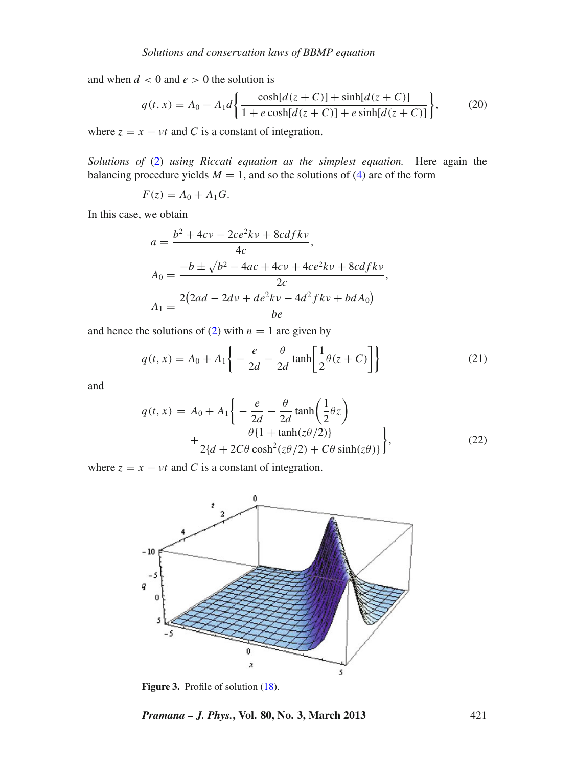and when  $d < 0$  and  $e > 0$  the solution is

$$
q(t,x) = A_0 - A_1 d \left\{ \frac{\cosh[d(z+C)] + \sinh[d(z+C)]}{1 + e \cosh[d(z+C)] + e \sinh[d(z+C)]} \right\},
$$
 (20)

where  $z = x - vt$  and *C* is a constant of integration.

*Solutions of* [\(2\)](#page-1-1) *using Riccati equation as the simplest equation.* Here again the balancing procedure yields  $M = 1$ , and so the solutions of [\(4\)](#page-2-0) are of the form

$$
F(z) = A_0 + A_1 G.
$$

In this case, we obtain

$$
a = \frac{b^2 + 4cv - 2ce^2kv + 8cdfkv}{4c},
$$
  
\n
$$
A_0 = \frac{-b \pm \sqrt{b^2 - 4ac + 4cv + 4ce^2kv + 8cdfkv}}{2c},
$$
  
\n
$$
A_1 = \frac{2(2ad - 2dv + de^2kv - 4d^2fkv + bdA_0)}{be}
$$

and hence the solutions of [\(2\)](#page-1-1) with  $n = 1$  are given by

$$
q(t,x) = A_0 + A_1 \left\{ -\frac{e}{2d} - \frac{\theta}{2d} \tanh\left[\frac{1}{2}\theta(z+C)\right] \right\}
$$
 (21)

and

<span id="page-8-1"></span>
$$
q(t,x) = A_0 + A_1 \left\{ -\frac{e}{2d} - \frac{\theta}{2d} \tanh\left(\frac{1}{2}\theta z\right) + \frac{\theta \{1 + \tanh(z\theta/2)\}}{2\{d + 2C\theta \cosh^2(z\theta/2) + C\theta \sinh(z\theta)\}} \right\},
$$
(22)

<span id="page-8-0"></span>where  $z = x - vt$  and *C* is a constant of integration.



Figure 3. Profile of solution [\(18\)](#page-7-0).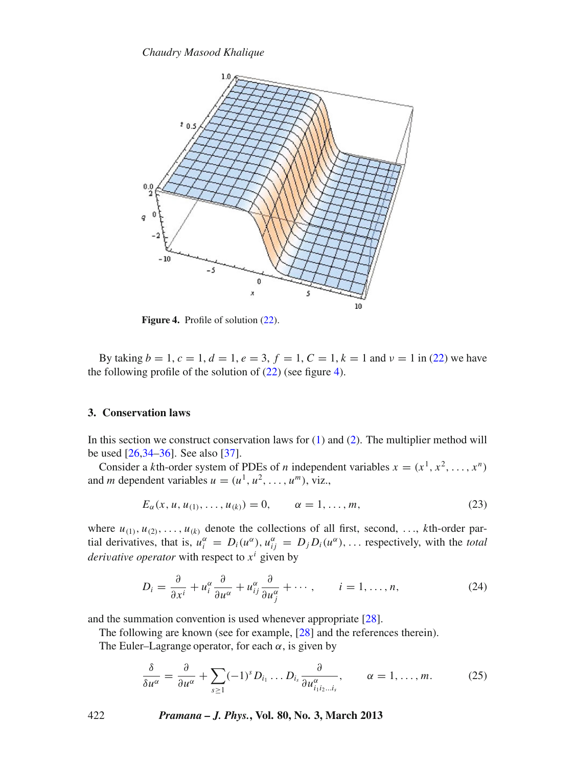<span id="page-9-1"></span>

Figure 4. Profile of solution  $(22)$ .

By taking  $b = 1$ ,  $c = 1$ ,  $d = 1$ ,  $e = 3$ ,  $f = 1$ ,  $C = 1$ ,  $k = 1$  and  $v = 1$  in [\(22\)](#page-8-1) we have the following profile of the solution of  $(22)$  (see figure [4\)](#page-9-1).

## <span id="page-9-0"></span>**3. Conservation laws**

In this section we construct conservation laws for [\(1\)](#page-1-0) and [\(2\)](#page-1-1). The multiplier method will be used [\[26](#page-14-4)[,34](#page-14-11)[–36](#page-14-12)]. See also [\[37\]](#page-14-13).

Consider a *k*th-order system of PDEs of *n* independent variables  $x = (x^1, x^2, \ldots, x^n)$ and *m* dependent variables  $u = (u^1, u^2, \dots, u^m)$ , viz.,

<span id="page-9-2"></span>
$$
E_{\alpha}(x, u, u_{(1)}, \dots, u_{(k)}) = 0, \qquad \alpha = 1, \dots, m,
$$
\n(23)

where  $u_{(1)}, u_{(2)}, \ldots, u_{(k)}$  denote the collections of all first, second, ..., *k*th-order partial derivatives, that is,  $u_i^{\alpha} = D_i(u^{\alpha})$ ,  $u_{ij}^{\alpha} = D_j D_i(u^{\alpha})$ , ... respectively, with the *total derivative operator* with respect to  $x^i$  given by

$$
D_i = \frac{\partial}{\partial x^i} + u_i^{\alpha} \frac{\partial}{\partial u^{\alpha}} + u_{ij}^{\alpha} \frac{\partial}{\partial u_j^{\alpha}} + \cdots, \qquad i = 1, \ldots, n,
$$
 (24)

and the summation convention is used whenever appropriate [\[28](#page-14-5)].

The following are known (see for example, [\[28](#page-14-5)] and the references therein).

The Euler–Lagrange operator, for each  $\alpha$ , is given by

$$
\frac{\delta}{\delta u^{\alpha}} = \frac{\partial}{\partial u^{\alpha}} + \sum_{s \ge 1} (-1)^s D_{i_1} \dots D_{i_s} \frac{\partial}{\partial u^{\alpha}_{i_1 i_2 \dots i_s}}, \qquad \alpha = 1, \dots, m. \tag{25}
$$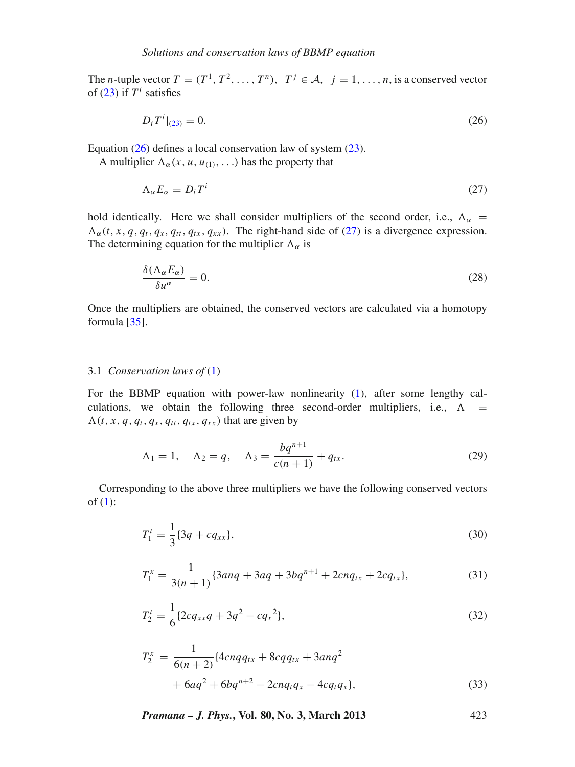The *n*-tuple vector  $T = (T^1, T^2, \ldots, T^n), T^j \in \mathcal{A}, j = 1, \ldots, n$ , is a conserved vector of  $(23)$  if  $T^i$  satisfies

<span id="page-10-0"></span>
$$
D_i T^i|_{(23)} = 0. \t\t(26)
$$

Equation [\(26\)](#page-10-0) defines a local conservation law of system [\(23\)](#page-9-2).

A multiplier  $\Lambda_{\alpha}(x, u, u_{(1)},...)$  has the property that

<span id="page-10-1"></span>
$$
\Lambda_{\alpha} E_{\alpha} = D_i T^i \tag{27}
$$

hold identically. Here we shall consider multipliers of the second order, i.e.,  $\Lambda_{\alpha}$  =  $\Lambda_{\alpha}(t, x, q, q_t, q_x, q_{tt}, q_{tx}, q_{xx})$ . The right-hand side of [\(27\)](#page-10-1) is a divergence expression. The determining equation for the multiplier  $\Lambda_{\alpha}$  is

$$
\frac{\delta(\Lambda_{\alpha}E_{\alpha})}{\delta u^{\alpha}} = 0.
$$
\n(28)

Once the multipliers are obtained, the conserved vectors are calculated via a homotopy formula [\[35](#page-14-14)].

#### 3.1 *Conser*v*ation laws of* [\(1\)](#page-1-0)

For the BBMP equation with power-law nonlinearity [\(1\)](#page-1-0), after some lengthy calculations, we obtain the following three second-order multipliers, i.e.,  $\Lambda$  =  $\Lambda(t, x, q, q_t, q_x, q_{tt}, q_{tx}, q_{xx})$  that are given by

$$
\Lambda_1 = 1, \quad \Lambda_2 = q, \quad \Lambda_3 = \frac{bq^{n+1}}{c(n+1)} + q_{tx}.
$$
\n(29)

Corresponding to the above three multipliers we have the following conserved vectors of  $(1)$ :

$$
T_1^t = \frac{1}{3} \{3q + cq_{xx}\},\tag{30}
$$

$$
T_1^x = \frac{1}{3(n+1)} \{3anq + 3aq + 3bq^{n+1} + 2cnq_{tx} + 2cq_{tx}\},\tag{31}
$$

$$
T_2^t = \frac{1}{6} \{ 2cq_{xx}q + 3q^2 - cq_x^2 \},\tag{32}
$$

$$
T_2^x = \frac{1}{6(n+2)} \{4cnqq_{tx} + 8cq_{tx} + 3anq^2 + 6aq^2 + 6bq^{n+2} - 2cnq_tq_x - 4cq_tq_x\},
$$
\n(33)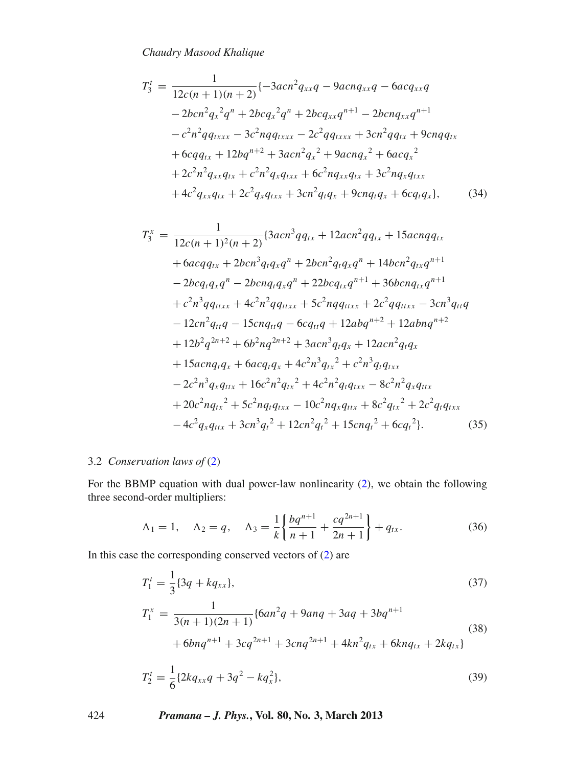$$
T_3' = \frac{1}{12c(n+1)(n+2)} \{-3acn^2 q_{xx}q - 9acn q_{xx}q - 6acq_{xx}q
$$
  
\n
$$
-2bcn^2 q_x^2 q^n + 2bcq_x^2 q^n + 2bcq_{xx}q^{n+1} - 2bcn q_{xx}q^{n+1}
$$
  
\n
$$
-c^2n^2 q q_{txxx} - 3c^2 n q q_{txxx} - 2c^2 q q_{txxx} + 3cn^2 q q_{tx} + 9cnq q_{tx}
$$
  
\n
$$
+ 6cq q_{tx} + 12bq^{n+2} + 3acn^2 q_x^2 + 9acn q_x^2 + 6acq_x^2
$$
  
\n
$$
+ 2c^2n^2 q_{xx}q_{tx} + c^2n^2 q_x q_{txx} + 6c^2n q_{xx}q_{tx} + 3c^2n q_x q_{txx}
$$
  
\n
$$
+ 4c^2 q_{xx}q_{tx} + 2c^2 q_x q_{txx} + 3cn^2 q_t q_x + 9cnq_t q_x + 6cq_t q_x \},
$$
  
\n(34)

$$
T_3^x = \frac{1}{12c(n+1)^2(n+2)} \{3acn^3qq_{tx} + 12acn^2qq_{tx} + 15acnqq_{tx} + 6acqq_{tx} + 2bcn^3q_tq_xq^n + 2bcn^2q_tq_xq^n + 14bcn^2q_{tx}q^{n+1} - 2bcq_tq_xq^n - 2bcnq_tq_xq^n + 22bcq_{tx}q^{n+1} + 36bcnq_{tx}q^{n+1} + c^2n^3qq_{ttxx} + 4c^2n^2qq_{ttxx} + 5c^2nqq_{ttxx} + 2c^2qq_{ttxx} - 3cn^3q_{tt}q - 12cn^2q_{tt}q - 15cnq_{tt}q - 6cq_{tt}q + 12abq^{n+2} + 12abnq^{n+2} + 12b^2q^{2n+2} + 6b^2nq^{2n+2} + 3acn^3q_tq_x + 12acn^2q_tq_x + 15acnq_tq_x + 6acq_tq_x + 4c^2n^3q_{tx}^2 + c^2n^3q_tq_{txx} - 2c^2n^3q_xq_{ttx} + 16c^2n^2q_{tx}^2 + 4c^2n^2q_tq_{txx} - 8c^2n^2q_xq_{ttx} + 20c^2nq_{tx}^2 + 5c^2nq_tq_{txx} - 10c^2nq_xq_{ttx} + 8c^2q_{tx}^2 + 2c^2q_tq_{txx} - 4c^2q_xq_{ttx} + 3cn^3q_t^2 + 12cn^2q_t^2 + 15cnq_t^2 + 6cq_t^2.
$$
 (35)

## 3.2 *Conser*v*ation laws of* [\(2\)](#page-1-1)

For the BBMP equation with dual power-law nonlinearity [\(2\)](#page-1-1), we obtain the following three second-order multipliers:

$$
\Lambda_1 = 1, \quad \Lambda_2 = q, \quad \Lambda_3 = \frac{1}{k} \left\{ \frac{bq^{n+1}}{n+1} + \frac{cq^{2n+1}}{2n+1} \right\} + q_{tx}.
$$
 (36)

In this case the corresponding conserved vectors of [\(2\)](#page-1-1) are

$$
T_1^t = \frac{1}{3} \{3q + kq_{xx}\},
$$
\n
$$
T_1^x = \frac{1}{3(n+1)(2n+1)} \{6an^2q + 9anq + 3aq + 3bq^{n+1} + 6bnq^{n+1} + 3cq^{2n+1} + 3cnq^{2n+1} + 4kn^2q_{tx} + 6knq_{tx} + 2kq_{tx}\}
$$
\n
$$
T_1^t = \frac{1}{3(n+1)(2n+1)} \{6an^2q + 9anq + 3aq + 3bq^{n+1} + 4kn^2q_{tx} + 6knq_{tx} + 2kq_{tx}\}
$$
\n
$$
(38)
$$

$$
T_2^t = \frac{1}{6} \{ 2kq_{xx}q + 3q^2 - kq_x^2 \},\tag{39}
$$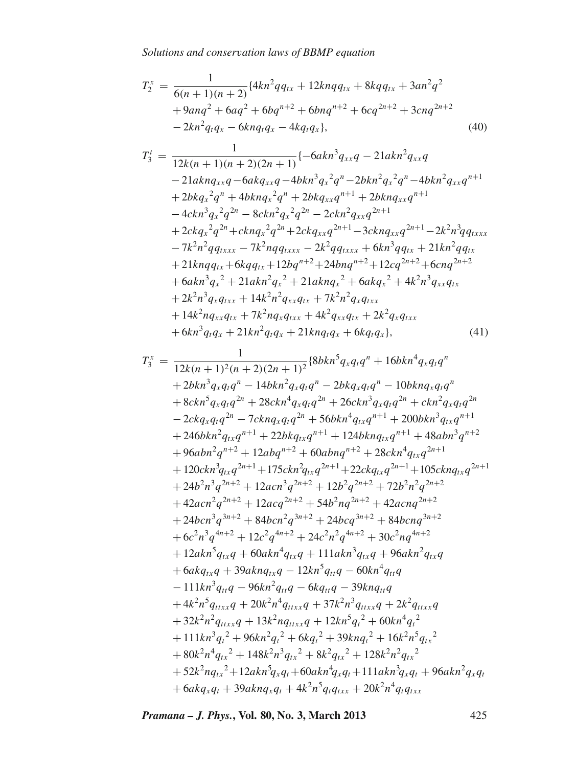$$
T_2^x = \frac{1}{6(n+1)(n+2)} \{4kn^2qq_{tx} + 12knqq_{tx} + 8kqq_{tx} + 3an^2q^2
$$
  
+ 9anq<sup>2</sup> + 6aq<sup>2</sup> + 6bq<sup>n+2</sup> + 6bnq<sup>n+2</sup> + 6cq<sup>2n+2</sup> + 3cnq<sup>2n+2</sup>  
- 2kn<sup>2</sup>q<sub>t</sub>q<sub>x</sub> - 6knq<sub>t</sub>q<sub>x</sub> - 4kq<sub>t</sub>q<sub>x</sub>}, (40)

$$
T_{3}^{t} = \frac{1}{12k(n+1)(n+2)(2n+1)} \{-6akn^{3}q_{xx}q - 21akn^{2}q_{xx}q
$$
  
\n
$$
-21aknq_{xx}q - 6akq_{xx}q - 4bkn^{3}q_{x}^{2}q^{n} - 2bkn^{2}q_{x}^{2}q^{n} - 4bkn^{2}q_{xx}q^{n+1}
$$
  
\n
$$
+2bkq_{x}^{2}q^{n} + 4bknq_{x}^{2}q^{n} + 2bkq_{xx}q^{n+1} + 2bknq_{xx}q^{n+1}
$$
  
\n
$$
-4ckn^{3}q_{x}^{2}q^{2n} - 8ckn^{2}q_{x}^{2}q^{2n} - 2ckn^{2}q_{xx}q^{2n+1}
$$
  
\n
$$
+2ckq_{x}^{2}q^{2n} + cknq_{x}^{2}q^{2n} + 2ckq_{xx}q^{2n+1} - 3cknq_{xx}q^{2n+1} - 2k^{2}n^{3}q_{txxx}
$$
  
\n
$$
-7k^{2}n^{2}qq_{txxx} - 7k^{2}nqq_{txxx} - 2k^{2}qq_{txxx} + 6kn^{3}qq_{tx} + 21kn^{2}qq_{tx}
$$
  
\n
$$
+ 21knqq_{tx} + 6kqq_{tx} + 12bq^{n+2} + 24bnq^{n+2} + 12cq^{2n+2} + 6cnq^{2n+2}
$$
  
\n
$$
+ 6akn^{3}q_{x}^{2} + 21akn^{2}q_{x}^{2} + 21aknq_{x}^{2} + 6akq_{x}^{2} + 4k^{2}n^{3}q_{xx}q_{tx}
$$
  
\n
$$
+ 2k^{2}n^{3}q_{x}q_{txx} + 14k^{2}n^{2}q_{x}q_{tx} + 7k^{2}n^{2}q_{x}q_{txx}
$$
  
\n
$$
+ 14k^{2}nq_{xx}q_{tx} + 7k^{2}nq_{x}q_{txx} + 4k^{2}q_{xx}q_{tx} + 2k^{2}q_{x}q_{txx}
$$
  
\n<math display="block</math>

$$
T_3^x = \frac{1}{12k(n+1)^2(n+2)(2n+1)^2} \{8bkn^5q_xq_tq^n + 16bkn^4q_xq_tq^n
$$
  
+  $2bkn^3q_xq_tq^n - 14bkn^2q_xq_tq^n - 2bkq_xq_tq^n - 10bknq_xq_tq^n$   
+  $8ckn^5q_xq_tq^{2n} + 28ckn^4q_xq_tq^{2n} + 26ckn^3q_xq_tq^{2n} + ckn^2q_xq_tq^{2n}$   
-  $2ckq_xq_tq^{2n} - 7cknq_xq_tq^{2n} + 56bkn^4q_{tx}q^{n+1} + 200bkn^3q_{tx}q^{n+1}$   
+  $246bkn^2q_{tx}q^{n+1} + 22bkq_{tx}q^{n+1} + 124bknq_{tx}q^{n+1} + 48abn^3q^{n+2}$   
+  $96abn^2q^{n+2} + 12abq^{n+2} + 60abnq^{n+2} + 28ckn^4q_{tx}q^{2n+1}$   
+  $120ckn^3q_{tx}q^{2n+1} + 175ckn^2q_{tx}q^{2n+1} + 22ckq_{tx}q^{2n+1} + 105cknq_{tx}q^{2n+1}$   
+  $24b^2n^3q^{2n+2} + 12acn^3q^{2n+2} + 12b^2q^{2n+2} + 72b^2n^2q^{2n+2}$   
+  $42acn^2q^{2n+2} + 12acq^{2n+2} + 54b^2nq^{2n+2} + 42acnq^{2n+2}$   
+  $24bcn^3q^{3n+2} + 84bcn^2q^{3n+2} + 24bcq^{3n+2} + 84bcnq^{3n+2}$   
+  $6c^2n^3q^{4n+2} + 12c^2q^{4n+2} + 24c^2n^2q^{4n+2} + 30c^2nq^{4n+2}$   
+  $12akn^5q_{tx}q + 60akn^4q_{tx}q + 111akn^3q_{tx$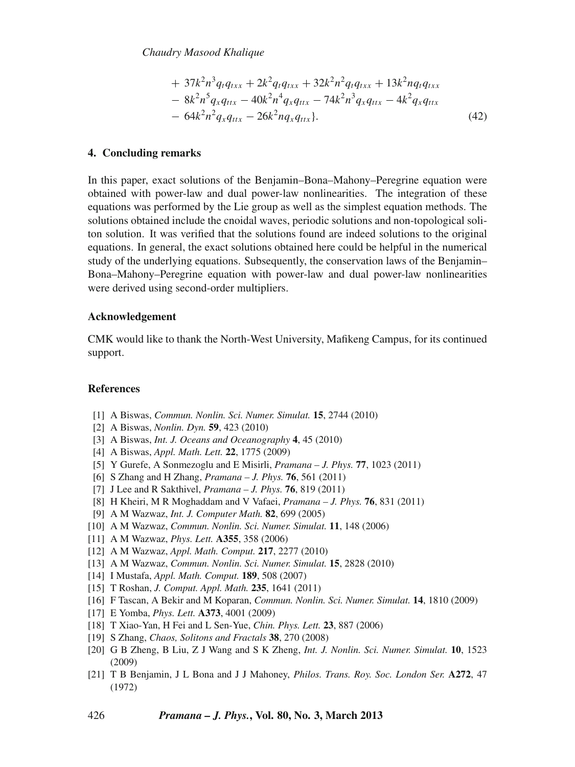*Chaudry Masood Khalique*

+ 
$$
37k^2n^3q_tq_{txx}
$$
 +  $2k^2q_tq_{txx}$  +  $32k^2n^2q_tq_{txx}$  +  $13k^2nq_tq_{txx}$   
\n-  $8k^2n^5q_xq_{ttx}$  -  $40k^2n^4q_xq_{ttx}$  -  $74k^2n^3q_xq_{ttx}$  -  $4k^2q_xq_{ttx}$   
\n-  $64k^2n^2q_xq_{ttx}$  -  $26k^2nq_xq_{ttx}$  }. (42)

#### <span id="page-13-3"></span>**4. Concluding remarks**

In this paper, exact solutions of the Benjamin–Bona–Mahony–Peregrine equation were obtained with power-law and dual power-law nonlinearities. The integration of these equations was performed by the Lie group as well as the simplest equation methods. The solutions obtained include the cnoidal waves, periodic solutions and non-topological soliton solution. It was verified that the solutions found are indeed solutions to the original equations. In general, the exact solutions obtained here could be helpful in the numerical study of the underlying equations. Subsequently, the conservation laws of the Benjamin– Bona–Mahony–Peregrine equation with power-law and dual power-law nonlinearities were derived using second-order multipliers.

#### **Acknowledgement**

CMK would like to thank the North-West University, Mafikeng Campus, for its continued support.

### **References**

- <span id="page-13-0"></span>[1] A Biswas, *Commun. Nonlin. Sci. Numer. Simulat.* **15**, 2744 (2010)
- [2] A Biswas, *Nonlin. Dyn.* **59**, 423 (2010)
- [3] A Biswas, *Int. J. Oceans and Oceanography* **4**, 45 (2010)
- [4] A Biswas, *Appl. Math. Lett.* **22**, 1775 (2009)
- [5] Y Gurefe, A Sonmezoglu and E Misirli, *Pramana J. Phys.* **77**, 1023 (2011)
- [6] S Zhang and H Zhang, *Pramana J. Phys.* **76**, 561 (2011)
- [7] J Lee and R Sakthivel, *Pramana J. Phys.* **76**, 819 (2011)
- [8] H Kheiri, M R Moghaddam and V Vafaei, *Pramana J. Phys.* **76**, 831 (2011)
- [9] A M Wazwaz, *Int. J. Computer Math.* **82**, 699 (2005)
- [10] A M Wazwaz, *Commun. Nonlin. Sci. Numer. Simulat.* **11**, 148 (2006)
- [11] A M Wazwaz, *Phys. Lett.* **A355**, 358 (2006)
- [12] A M Wazwaz, *Appl. Math. Comput.* **217**, 2277 (2010)
- [13] A M Wazwaz, *Commun. Nonlin. Sci. Numer. Simulat.* **15**, 2828 (2010)
- [14] I Mustafa, *Appl. Math. Comput.* **189**, 508 (2007)
- [15] T Roshan, *J. Comput. Appl. Math.* **235**, 1641 (2011)
- [16] F Tascan, A Bekir and M Koparan, *Commun. Nonlin. Sci. Numer. Simulat.* **14**, 1810 (2009)
- [17] E Yomba, *Phys. Lett.* **A373**, 4001 (2009)
- [18] T Xiao-Yan, H Fei and L Sen-Yue, *Chin. Phys. Lett.* **23**, 887 (2006)
- [19] S Zhang, *Chaos, Solitons and Fractals* **38**, 270 (2008)
- <span id="page-13-1"></span>[20] G B Zheng, B Liu, Z J Wang and S K Zheng, *Int. J. Nonlin. Sci. Numer. Simulat.* **10**, 1523 (2009)
- <span id="page-13-2"></span>[21] T B Benjamin, J L Bona and J J Mahoney, *Philos. Trans. Roy. Soc. London Ser.* **A272**, 47 (1972)